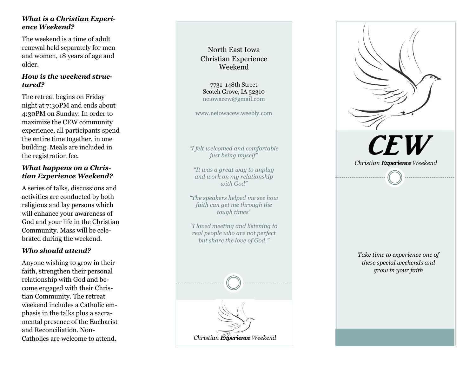## *What is a Christian Experience Weekend?*

The weekend is a time of adult renewal held separately for men and women, 18 years of age and older.

### *How is the weekend structured?*

The retreat begins on Friday night at 7:30PM and ends about 4:30PM on Sunday. In order to maximize the CEW community experience, all participants spend the entire time together, in one building. Meals are included in the registration fee.

### *What happens on a Christian Experience Weekend?*

A series of talks, discussions and activities are conducted by both religious and lay persons which will enhance your awareness of God and your life in the Christian Community. Mass will be celebrated during the weekend.

## *Who should attend?*

Anyone wishing to grow in their faith, strengthen their personal relationship with God and become engaged with their Christian Community. The retreat weekend includes a Catholic emphasis in the talks plus a sacramental presence of the Eucharist and Reconciliation. Non -

# North East Iowa Christian Experience Weekend

7731 148th Street Scotch Grove, IA 52310 neiowacew@gmail.com

www.neiowacew.weebly.com

*"I felt welcomed and comfortable just being myself"*

*"It was a great way to unplug and work on my relationship with God "*

*"The speakers helped me see how faith can get me through the tough times "*

*"I loved meeting and listening to real people who are not perfect but share the love of God. "*





*Take time to experience one of these special weekends and grow in your faith*